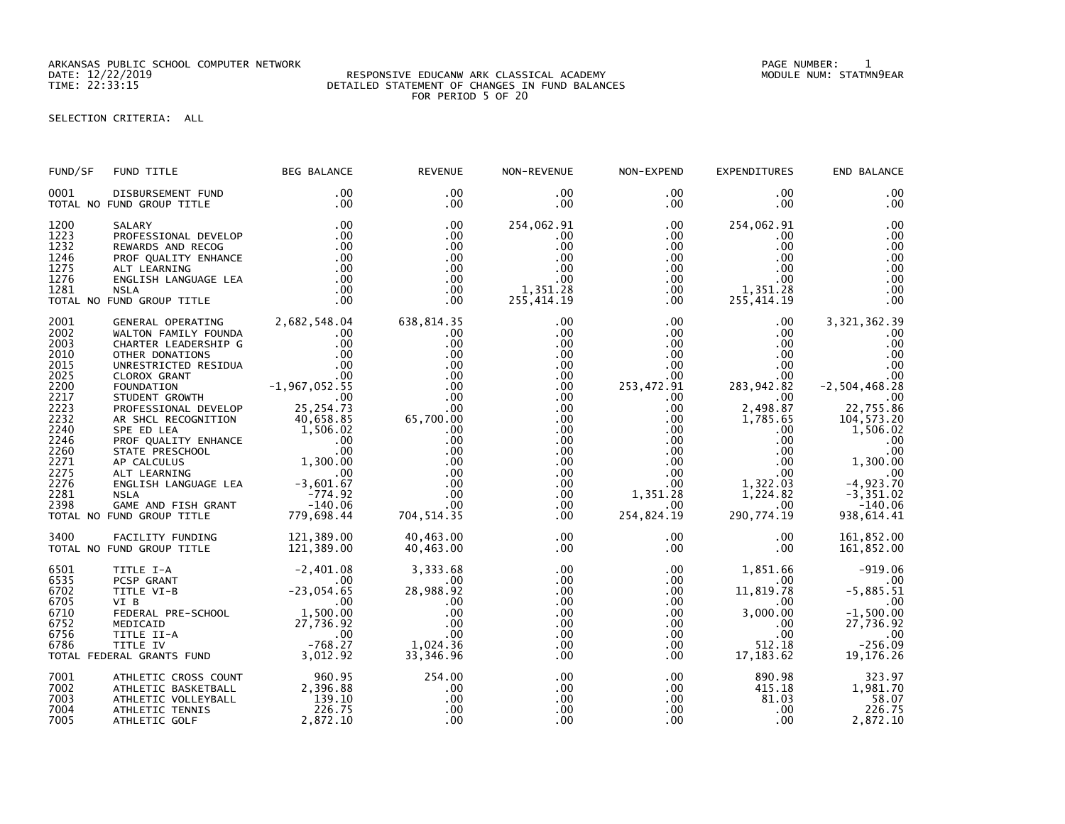ARKANSAS PUBLIC SCHOOL COMPUTER NETWORK PAGE NUMBER: 1

## DATE: 12/22/2019 RESPONSIVE EDUCANW ARK CLASSICAL ACADEMY MODULE NUM: STATMN9EAR TIME: 22:33:15 DETAILED STATEMENT OF CHANGES IN FUND BALANCES FOR PERIOD 5 OF 20

## SELECTION CRITERIA: ALL

| FUND/SF                                                                                                                                      | FUND TITLE                                                                                                                                                                                                                                                                                                                                                                                                                   | <b>BEG BALANCE</b>                                                                                                                                                                                       | <b>REVENUE</b>                                                                                                                                                     | NON-REVENUE                                                                                                                                                           | NON-EXPEND                                                                                                                                                                                                             | <b>EXPENDITURES</b>                                                                                                                                                                                                                      | END BALANCE                                                                                                                                                                                            |
|----------------------------------------------------------------------------------------------------------------------------------------------|------------------------------------------------------------------------------------------------------------------------------------------------------------------------------------------------------------------------------------------------------------------------------------------------------------------------------------------------------------------------------------------------------------------------------|----------------------------------------------------------------------------------------------------------------------------------------------------------------------------------------------------------|--------------------------------------------------------------------------------------------------------------------------------------------------------------------|-----------------------------------------------------------------------------------------------------------------------------------------------------------------------|------------------------------------------------------------------------------------------------------------------------------------------------------------------------------------------------------------------------|------------------------------------------------------------------------------------------------------------------------------------------------------------------------------------------------------------------------------------------|--------------------------------------------------------------------------------------------------------------------------------------------------------------------------------------------------------|
| 0001                                                                                                                                         | DISBURSEMENT FUND<br>TOTAL NO FUND GROUP TITLE                                                                                                                                                                                                                                                                                                                                                                               | .00<br>.00                                                                                                                                                                                               | .00<br>$.00 \times$                                                                                                                                                | $.00 \,$<br>$.00 \,$                                                                                                                                                  | $.00 \,$<br>$.00 \,$                                                                                                                                                                                                   | $.00 \,$<br>$.00 \,$                                                                                                                                                                                                                     | .00<br>.00                                                                                                                                                                                             |
| 1200<br>1223<br>1232<br>1246<br>1275<br>1276<br>1281                                                                                         | SALARY<br>PROFESSIONAL DEVELOP<br>REWARDS AND RECOG<br>PROF QUALITY ENHANCE<br>ALT LEARNING<br>ENGLISH LANGUAGE LEA<br><b>NSLA</b><br>TOTAL NO FUND GROUP TITLE                                                                                                                                                                                                                                                              | .00<br>.00<br>.00<br>.00<br>.00<br>.00<br>.00<br>.00                                                                                                                                                     | .00<br>.00<br>.00<br>.00<br>.00.<br>.00<br>.00<br>.00                                                                                                              | 254,062.91<br>.00<br>.00<br>.00<br>.00<br>$.00 \,$<br>1,351.28<br>255,414.19                                                                                          | $.00 \,$<br>$.00 \,$<br>$.00 \,$<br>$.00 \,$<br>$.00\,$<br>$.00\,$<br>$.00 \,$<br>.00                                                                                                                                  | 254,062.91<br>.00<br>$.00 \,$<br>$.00 \,$<br>$.00 \,$<br>$.00 \,$<br>1,351.28<br>255,414.19                                                                                                                                              | .00<br>.00<br>.00<br>.00<br>.00<br>.00<br>.00<br>.00                                                                                                                                                   |
| 2001<br>2002<br>2003<br>2010<br>2015<br>2025<br>2200<br>2217<br>2223<br>2232<br>2240<br>2246<br>2260<br>2271<br>2275<br>2276<br>2281<br>2398 | GENERAL OPERATING<br>WALTON FAMILY FOUNDA<br>CHARTER LEADERSHIP G<br>OTHER DONATIONS<br>UNRESTRICTED RESIDUA<br>CLOROX GRANT<br>FOUNDATION<br>STUDENT GROWTH<br>PROFESSIONAL DEVELOP<br>AR SHCL RECOGNITION<br>SPE ED LEA<br>PROF QUALITY ENHANCE<br>STATE PRESCHOOL<br>00.<br>AP CALCULUS 1,300.00<br>ALT LEARNING .00<br>ENGLISH LANGUAGE LEA -3,601.67<br><b>NSLA</b><br>GAME AND FISH GRANT<br>TOTAL NO FUND GROUP TITLE | 2,682,548.04<br>.00<br>.00<br>.00<br>.00<br>$-1,967,052.55$<br>00<br>75 - 254 .73<br>25, 254. 73<br>40,658.85<br>1,506.02<br>$\overline{\phantom{0}}$ .00<br>.00<br>$-774.92$<br>$-140.06$<br>779,698.44 | 638,814.35<br>.00<br>.00<br>.00<br>.00<br>.00<br>.00<br>.00<br>$65,700.\widetilde{00} \ 00$<br>.00<br>.00<br>.00<br>.00<br>.00<br>.00<br>.00<br>.00<br>704, 514.35 | .00<br>$.00 \,$<br>.00<br>.00<br>.00.<br>.00<br>.00<br>.00<br>.00<br>.00<br>$.00 \,$<br>.00<br>$.00 \,$<br>$.00 \,$<br>$.00 \,$<br>$.00 \,$<br>.00<br>$.00 \,$<br>.00 | $.00 \,$<br>$.00 \,$<br>$.00 \ \,$<br>$.00\,$<br>.00 <sub>1</sub><br>$.00 \,$<br>253,472.91<br>$.00 \,$<br>$.00 \,$<br>$.00 \,$<br>.00<br>.00<br>$.00\,$<br>$.00\,$<br>$.00\,$<br>.00<br>1,351.28<br>.00<br>254,824.19 | $.00 \,$<br>$.00 \,$<br>$.00 \,$<br>$.00 \,$<br>$.00 \,$<br>.00<br>283,942.82<br>$.00 \,$<br>2,498.87<br>1,785.65<br>$.00 \,$<br>$.00 \,$<br>$.00 \,$<br>$.00 \,$<br>.00 <sub>1</sub><br>1,322.03<br>1,224.82<br>$.00 \,$<br>290, 774.19 | 3, 321, 362.39<br>.00<br>.00<br>.00<br>.00<br>.00<br>$-2,504,468.28$<br>.00<br>22,755.86<br>104, 573.20<br>1,506.02<br>.00<br>.00<br>1,300.00<br>$-4,923.70$<br>$-3,351.02$<br>$-140.06$<br>938,614.41 |
| 3400                                                                                                                                         | FACILITY FUNDING<br>TOTAL NO FUND GROUP TITLE                                                                                                                                                                                                                                                                                                                                                                                | 121,389.00<br>121,389.00                                                                                                                                                                                 | 40,463.00<br>40,463.00                                                                                                                                             | .00<br>$.00 \,$                                                                                                                                                       | $.00 \,$<br>$.00 \,$                                                                                                                                                                                                   | $.00 \,$<br>$.00 \,$                                                                                                                                                                                                                     | 161,852.00<br>161,852.00                                                                                                                                                                               |
| 6501<br>6535<br>6702<br>6705<br>6710<br>6752<br>6756<br>6786                                                                                 | TITLE I-A<br>PCSP GRANT<br>PCSP GRANT<br>TITLE VI-B<br>VI B<br>FEDERAL PRE-SCHOOL 1,500.00<br>MEDICAID 27,736.92<br>TITLE II-A .00<br>TITLE II-A .00<br>TITLE II-A .00<br>TITLE II-A .00<br>TITLE II-A .00<br>TOTAL FEDERAL GRANTS FUND                                                                                                                                                                                      | $-2,401.08$<br>$.00 \,$<br>3,012.92                                                                                                                                                                      | 3,333.68<br>$.00 \times$<br>28,988.92<br>.00<br>.00<br>.00<br>.00<br>1,024.36<br>33,346.96                                                                         | $.00 \,$<br>.00<br>.00<br>.00<br>.00<br>.00<br>.00<br>.00<br>.00                                                                                                      | $.00 \,$<br>$.00 \,$<br>$.00 \,$<br>$.00 \,$<br>$.00 \,$<br>$.00 \,$<br>$.00 \,$<br>$.00 \,$<br>.00                                                                                                                    | 1,851.66<br>.00<br>11,819.78<br>$.00 \,$<br>3,000.00<br>$.00 \,$<br>$.00 \,$<br>512.18<br>17, 183.62                                                                                                                                     | $-919.06$<br>.00<br>$-5,885.51$<br>.00<br>$-1,500.00$<br>27,736.92<br>.00<br>$-256.09$<br>19, 176. 26                                                                                                  |
| 7001<br>7002<br>7003<br>7004<br>7005                                                                                                         | ATHLETIC CROSS COUNT<br>ATHLETIC BASKETBALL<br>ATHLETIC VOLLEYBALL<br>ATHLETIC TENNIS<br>ATHLETIC GOLF                                                                                                                                                                                                                                                                                                                       | 960.95<br>2,396.88<br>$\frac{139}{222}$ 10<br>226.75<br>2,872.10                                                                                                                                         | 254.00<br>.00<br>.00<br>.00<br>.00                                                                                                                                 | .00<br>.00<br>.00<br>.00<br>.00                                                                                                                                       | $.00 \,$<br>$.00 \ \,$<br>$.00\,$<br>$.00 \,$<br>$.00 \,$                                                                                                                                                              | 890.98<br>415.18<br>81.03<br>$.00 \,$<br>$.00 \,$                                                                                                                                                                                        | 323.97<br>1,981.70<br>58.07<br>226.75<br>2,872.10                                                                                                                                                      |